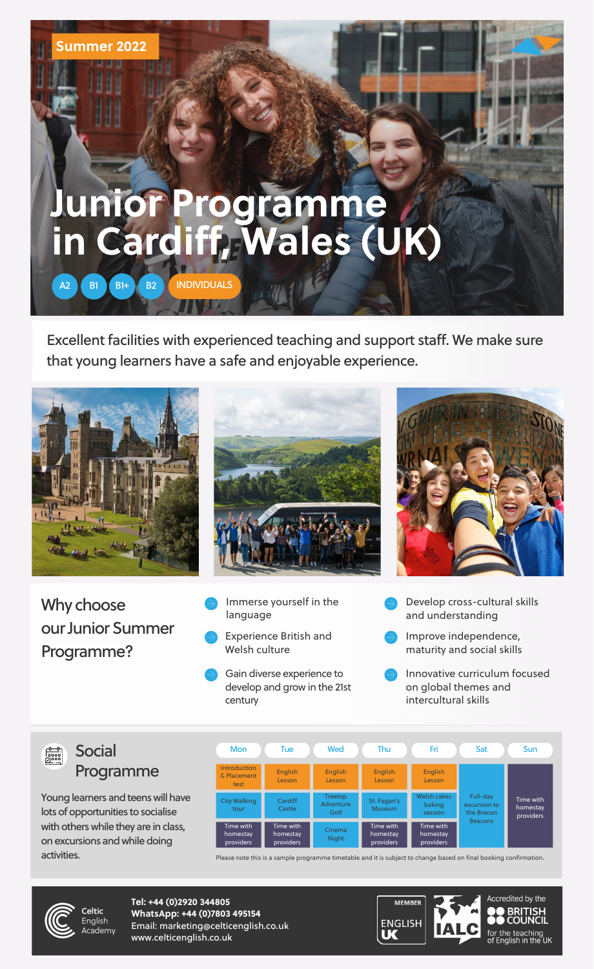Excellent facilities with experienced teaching and support staff. We make sure that young learners have a safe and enjoyable experience.







**Tel: +44 (0)2920 344805 WhatsApp: +44 (0)7803 495154** Email: marketing@celticenglish.co.uk www.celticenglish.co.uk



## **Junior Programme in Cardiff, Wales (UK)**

## **Summer 2022**

Young learners and teens will have lots of opportunities to socialise with others while they are in class, on excursions and while doing activities.

A2 B1 B1+ B2 [INDIVIDUALS](https://youtu.be/fOk11o-PZNo)

- Immerse yourself in the language
- Experience British and Welsh culture
- Gain diverse experience to develop and grow in the 21st century
- Develop cross-cultural skills and understanding
- Improve independence, maturity and social skills
- Innovative curriculum focused on global themes and intercultural skills

Please note this is a sample programme timetable and it is subject to change based on final booking confirmation.



Why choose our Junior Summer Programme?